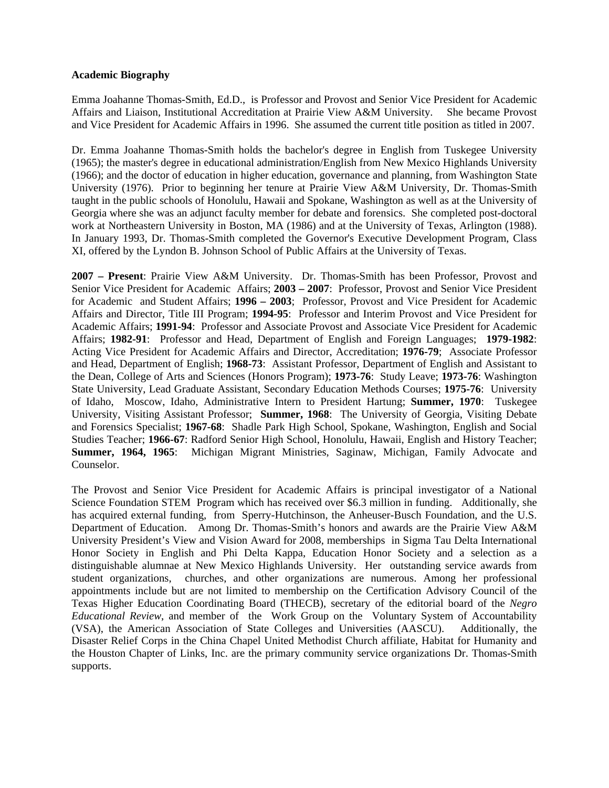#### **Academic Biography**

Emma Joahanne Thomas-Smith, Ed.D., is Professor and Provost and Senior Vice President for Academic Affairs and Liaison, Institutional Accreditation at Prairie View A&M University. She became Provost and Vice President for Academic Affairs in 1996. She assumed the current title position as titled in 2007.

Dr. Emma Joahanne Thomas-Smith holds the bachelor's degree in English from Tuskegee University (1965); the master's degree in educational administration/English from New Mexico Highlands University (1966); and the doctor of education in higher education, governance and planning, from Washington State University (1976). Prior to beginning her tenure at Prairie View A&M University, Dr. Thomas-Smith taught in the public schools of Honolulu, Hawaii and Spokane, Washington as well as at the University of Georgia where she was an adjunct faculty member for debate and forensics. She completed post-doctoral work at Northeastern University in Boston, MA (1986) and at the University of Texas, Arlington (1988). In January 1993, Dr. Thomas-Smith completed the Governor's Executive Development Program, Class XI, offered by the Lyndon B. Johnson School of Public Affairs at the University of Texas.

**2007 – Present**: Prairie View A&M University. Dr. Thomas-Smith has been Professor, Provost and Senior Vice President for Academic Affairs; **2003 – 2007**: Professor, Provost and Senior Vice President for Academic and Student Affairs; **1996 – 2003**; Professor, Provost and Vice President for Academic Affairs and Director, Title III Program; **1994-95**: Professor and Interim Provost and Vice President for Academic Affairs; **1991-94**: Professor and Associate Provost and Associate Vice President for Academic Affairs; **1982-91**: Professor and Head, Department of English and Foreign Languages; **1979-1982**: Acting Vice President for Academic Affairs and Director, Accreditation; **1976-79**; Associate Professor and Head, Department of English; **1968-73**: Assistant Professor, Department of English and Assistant to the Dean, College of Arts and Sciences (Honors Program); **1973-76**: Study Leave; **1973-76**: Washington State University, Lead Graduate Assistant, Secondary Education Methods Courses; **1975-76**: University of Idaho, Moscow, Idaho, Administrative Intern to President Hartung; **Summer, 1970**: Tuskegee University, Visiting Assistant Professor; **Summer, 1968**: The University of Georgia, Visiting Debate and Forensics Specialist; **1967-68**: Shadle Park High School, Spokane, Washington, English and Social Studies Teacher; **1966-67**: Radford Senior High School, Honolulu, Hawaii, English and History Teacher; **Summer, 1964, 1965**: Michigan Migrant Ministries, Saginaw, Michigan, Family Advocate and Counselor.

The Provost and Senior Vice President for Academic Affairs is principal investigator of a National Science Foundation STEM Program which has received over \$6.3 million in funding. Additionally, she has acquired external funding, from Sperry-Hutchinson, the Anheuser-Busch Foundation, and the U.S. Department of Education. Among Dr. Thomas-Smith's honors and awards are the Prairie View A&M University President's View and Vision Award for 2008, memberships in Sigma Tau Delta International Honor Society in English and Phi Delta Kappa, Education Honor Society and a selection as a distinguishable alumnae at New Mexico Highlands University. Her outstanding service awards from student organizations, churches, and other organizations are numerous. Among her professional appointments include but are not limited to membership on the Certification Advisory Council of the Texas Higher Education Coordinating Board (THECB), secretary of the editorial board of the *Negro Educational Review*, and member of the Work Group on the Voluntary System of Accountability (VSA), the American Association of State Colleges and Universities (AASCU). Additionally, the Disaster Relief Corps in the China Chapel United Methodist Church affiliate, Habitat for Humanity and the Houston Chapter of Links, Inc. are the primary community service organizations Dr. Thomas-Smith supports.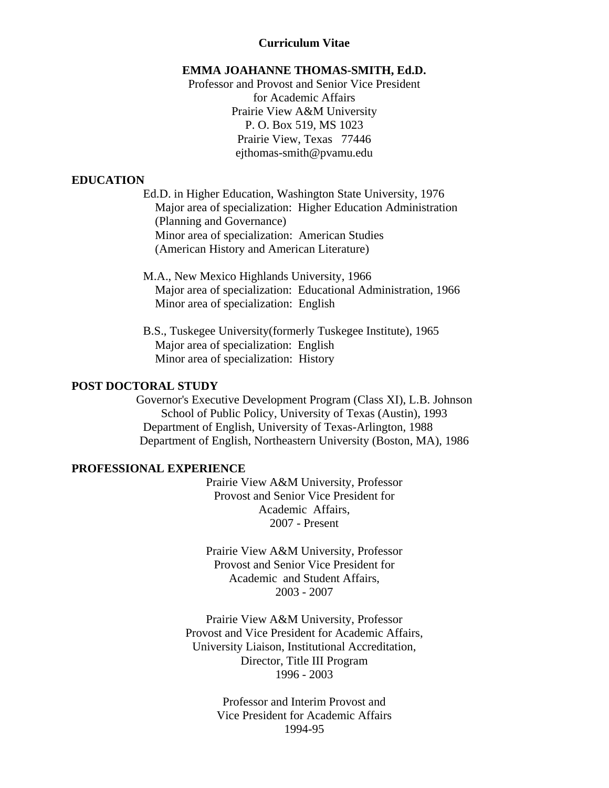#### **Curriculum Vitae**

#### **EMMA JOAHANNE THOMAS-SMITH, Ed.D.**

Professor and Provost and Senior Vice President for Academic Affairs Prairie View A&M University P. O. Box 519, MS 1023 Prairie View, Texas 77446 ejthomas-smith@pvamu.edu

### **EDUCATION**

Ed.D. in Higher Education, Washington State University, 1976 Major area of specialization: Higher Education Administration (Planning and Governance) Minor area of specialization: American Studies (American History and American Literature)

- M.A., New Mexico Highlands University, 1966 Major area of specialization: Educational Administration, 1966 Minor area of specialization: English
- B.S., Tuskegee University(formerly Tuskegee Institute), 1965 Major area of specialization: English Minor area of specialization: History

#### **POST DOCTORAL STUDY**

Governor's Executive Development Program (Class XI), L.B. Johnson School of Public Policy, University of Texas (Austin), 1993 Department of English, University of Texas-Arlington, 1988 Department of English, Northeastern University (Boston, MA), 1986

#### **PROFESSIONAL EXPERIENCE**

Prairie View A&M University, Professor Provost and Senior Vice President for Academic Affairs, 2007 - Present

Prairie View A&M University, Professor Provost and Senior Vice President for Academic and Student Affairs, 2003 - 2007

Prairie View A&M University, Professor Provost and Vice President for Academic Affairs, University Liaison, Institutional Accreditation, Director, Title III Program 1996 - 2003

> Professor and Interim Provost and Vice President for Academic Affairs 1994-95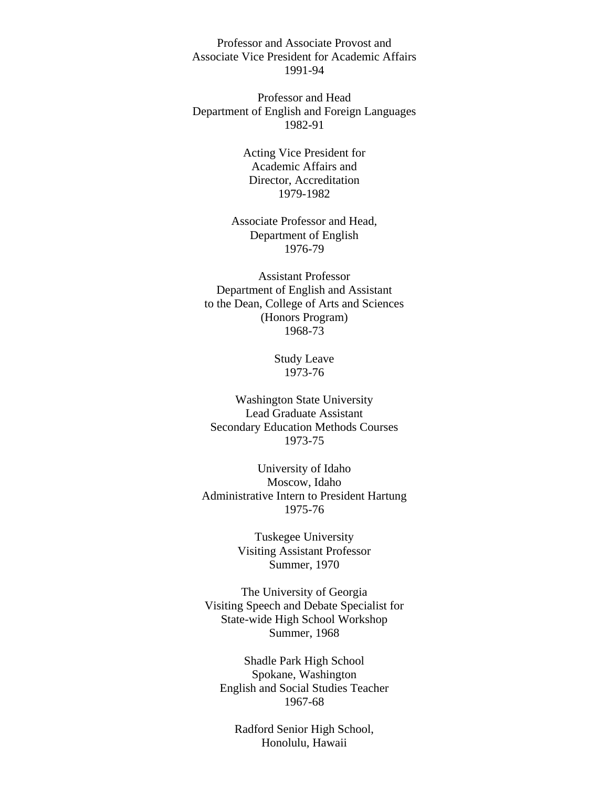Professor and Associate Provost and Associate Vice President for Academic Affairs 1991-94

Professor and Head Department of English and Foreign Languages 1982-91

> Acting Vice President for Academic Affairs and Director, Accreditation 1979-1982

Associate Professor and Head, Department of English 1976-79

Assistant Professor Department of English and Assistant to the Dean, College of Arts and Sciences (Honors Program) 1968-73

> Study Leave 1973-76

Washington State University Lead Graduate Assistant Secondary Education Methods Courses 1973-75

University of Idaho Moscow, Idaho Administrative Intern to President Hartung 1975-76

> Tuskegee University Visiting Assistant Professor Summer, 1970

The University of Georgia Visiting Speech and Debate Specialist for State-wide High School Workshop Summer, 1968

Shadle Park High School Spokane, Washington English and Social Studies Teacher 1967-68

Radford Senior High School, Honolulu, Hawaii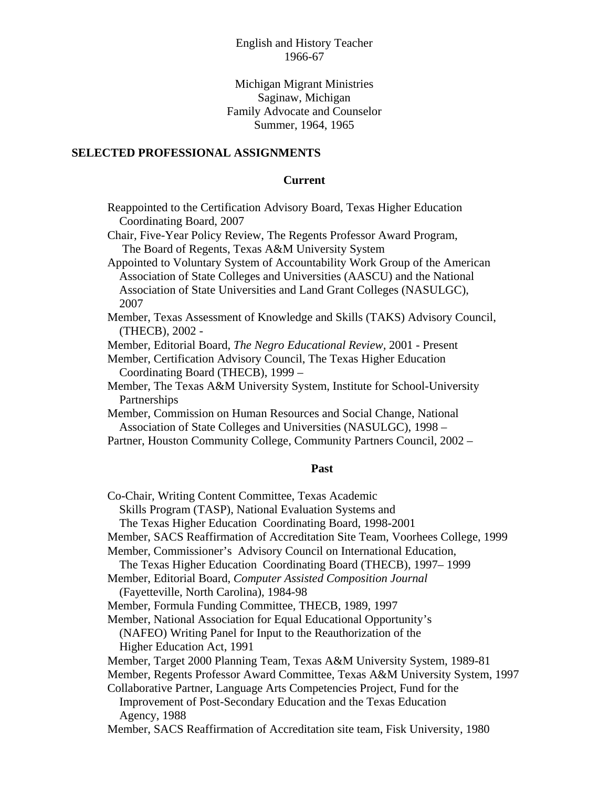## English and History Teacher 1966-67

## Michigan Migrant Ministries Saginaw, Michigan Family Advocate and Counselor Summer, 1964, 1965

#### **SELECTED PROFESSIONAL ASSIGNMENTS**

#### **Current**

- Reappointed to the Certification Advisory Board, Texas Higher Education Coordinating Board, 2007
- Chair, Five-Year Policy Review, The Regents Professor Award Program, The Board of Regents, Texas A&M University System
- Appointed to Voluntary System of Accountability Work Group of the American Association of State Colleges and Universities (AASCU) and the National Association of State Universities and Land Grant Colleges (NASULGC), 2007
- Member, Texas Assessment of Knowledge and Skills (TAKS) Advisory Council, (THECB), 2002 -
- Member, Editorial Board, *The Negro Educational Review,* 2001 Present
- Member, Certification Advisory Council, The Texas Higher Education Coordinating Board (THECB), 1999 –
- Member, The Texas A&M University System, Institute for School-University Partnerships
- Member, Commission on Human Resources and Social Change, National Association of State Colleges and Universities (NASULGC), 1998 –
- Partner, Houston Community College, Community Partners Council, 2002 –

#### **Past**

Co-Chair, Writing Content Committee, Texas Academic Skills Program (TASP), National Evaluation Systems and The Texas Higher Education Coordinating Board, 1998-2001 Member, SACS Reaffirmation of Accreditation Site Team, Voorhees College, 1999 Member, Commissioner's Advisory Council on International Education, The Texas Higher Education Coordinating Board (THECB), 1997– 1999 Member, Editorial Board, *Computer Assisted Composition Journal*  (Fayetteville, North Carolina), 1984-98 Member, Formula Funding Committee, THECB, 1989, 1997 Member, National Association for Equal Educational Opportunity's (NAFEO) Writing Panel for Input to the Reauthorization of the Higher Education Act, 1991 Member, Target 2000 Planning Team, Texas A&M University System, 1989-81 Member, Regents Professor Award Committee, Texas A&M University System, 1997 Collaborative Partner, Language Arts Competencies Project, Fund for the Improvement of Post-Secondary Education and the Texas Education Agency, 1988 Member, SACS Reaffirmation of Accreditation site team, Fisk University, 1980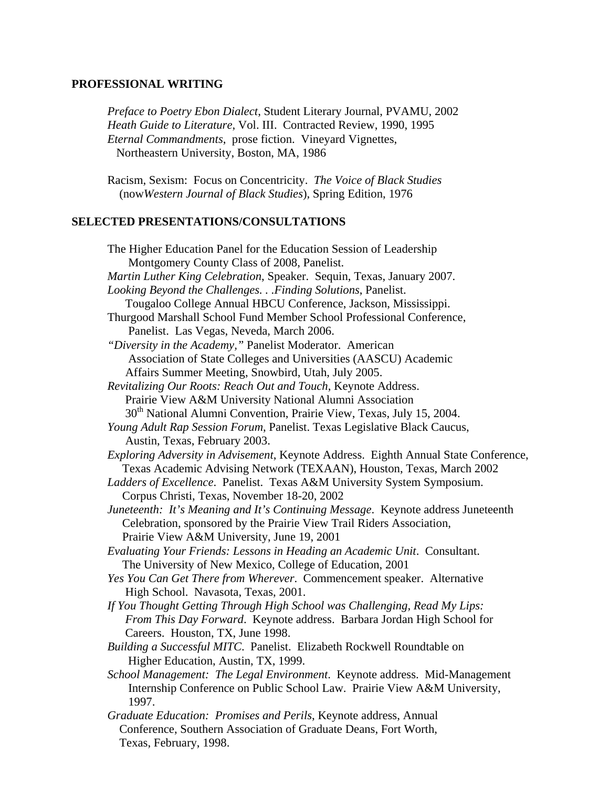## **PROFESSIONAL WRITING**

*Preface to Poetry Ebon Dialect*, Student Literary Journal, PVAMU, 2002 *Heath Guide to Literature*, Vol. III. Contracted Review, 1990, 1995 *Eternal Commandments*, prose fiction. Vineyard Vignettes, Northeastern University, Boston, MA, 1986

 Racism, Sexism: Focus on Concentricity. *The Voice of Black Studies*  (now*Western Journal of Black Studies*), Spring Edition, 1976

# **SELECTED PRESENTATIONS/CONSULTATIONS**

| The Higher Education Panel for the Education Session of Leadership                  |
|-------------------------------------------------------------------------------------|
| Montgomery County Class of 2008, Panelist.                                          |
| Martin Luther King Celebration, Speaker. Sequin, Texas, January 2007.               |
| Looking Beyond the Challenges. Finding Solutions, Panelist.                         |
| Tougaloo College Annual HBCU Conference, Jackson, Mississippi.                      |
| Thurgood Marshall School Fund Member School Professional Conference,                |
| Panelist. Las Vegas, Neveda, March 2006.                                            |
| "Diversity in the Academy," Panelist Moderator. American                            |
| Association of State Colleges and Universities (AASCU) Academic                     |
| Affairs Summer Meeting, Snowbird, Utah, July 2005.                                  |
| Revitalizing Our Roots: Reach Out and Touch, Keynote Address.                       |
| Prairie View A&M University National Alumni Association                             |
| 30 <sup>th</sup> National Alumni Convention, Prairie View, Texas, July 15, 2004.    |
| Young Adult Rap Session Forum, Panelist. Texas Legislative Black Caucus,            |
| Austin, Texas, February 2003.                                                       |
| Exploring Adversity in Advisement, Keynote Address. Eighth Annual State Conference, |
| Texas Academic Advising Network (TEXAAN), Houston, Texas, March 2002                |
| Ladders of Excellence. Panelist. Texas A&M University System Symposium.             |
| Corpus Christi, Texas, November 18-20, 2002                                         |
| Juneteenth: It's Meaning and It's Continuing Message. Keynote address Juneteenth    |
| Celebration, sponsored by the Prairie View Trail Riders Association,                |
| Prairie View A&M University, June 19, 2001                                          |
| Evaluating Your Friends: Lessons in Heading an Academic Unit. Consultant.           |
| The University of New Mexico, College of Education, 2001                            |
| Yes You Can Get There from Wherever. Commencement speaker. Alternative              |
| High School. Navasota, Texas, 2001.                                                 |
| If You Thought Getting Through High School was Challenging, Read My Lips:           |
| From This Day Forward. Keynote address. Barbara Jordan High School for              |
| Careers. Houston, TX, June 1998.                                                    |
| Building a Successful MITC. Panelist. Elizabeth Rockwell Roundtable on              |
| Higher Education, Austin, TX, 1999.                                                 |
| School Management: The Legal Environment. Keynote address. Mid-Management           |
| Internship Conference on Public School Law. Prairie View A&M University,            |
| 1997.                                                                               |
| Graduate Education: Promises and Perils, Keynote address, Annual                    |
| Conference, Southern Association of Graduate Deans, Fort Worth,                     |
| Texas, February, 1998.                                                              |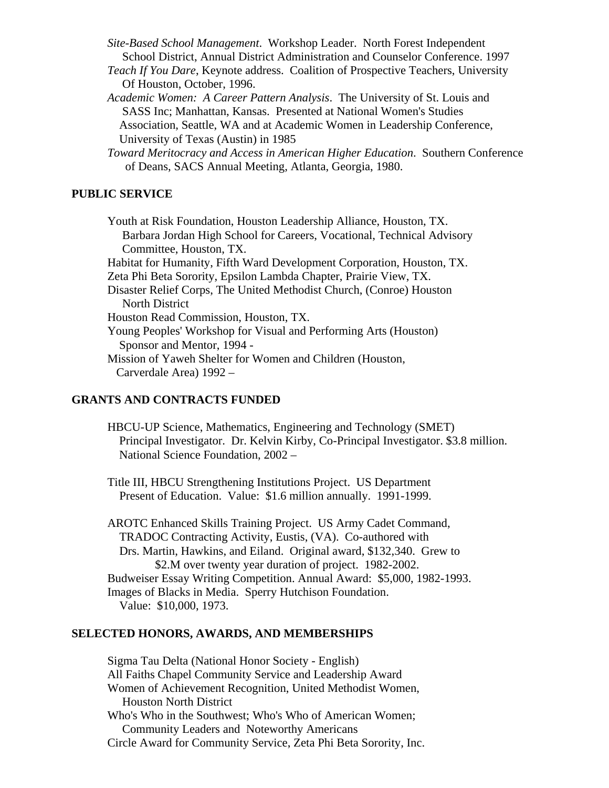*Site-Based School Management*. Workshop Leader. North Forest Independent School District, Annual District Administration and Counselor Conference. 1997

*Teach If You Dare*, Keynote address. Coalition of Prospective Teachers, University Of Houston, October, 1996.

*Academic Women: A Career Pattern Analysis*. The University of St. Louis and SASS Inc; Manhattan, Kansas. Presented at National Women's Studies Association, Seattle, WA and at Academic Women in Leadership Conference, University of Texas (Austin) in 1985

*Toward Meritocracy and Access in American Higher Education*. Southern Conference of Deans, SACS Annual Meeting, Atlanta, Georgia, 1980.

## **PUBLIC SERVICE**

 Youth at Risk Foundation, Houston Leadership Alliance, Houston, TX. Barbara Jordan High School for Careers, Vocational, Technical Advisory Committee, Houston, TX. Habitat for Humanity, Fifth Ward Development Corporation, Houston, TX. Zeta Phi Beta Sorority, Epsilon Lambda Chapter, Prairie View, TX. Disaster Relief Corps, The United Methodist Church, (Conroe) Houston North District Houston Read Commission, Houston, TX. Young Peoples' Workshop for Visual and Performing Arts (Houston) Sponsor and Mentor, 1994 - Mission of Yaweh Shelter for Women and Children (Houston, Carverdale Area) 1992 –

## **GRANTS AND CONTRACTS FUNDED**

 HBCU-UP Science, Mathematics, Engineering and Technology (SMET) Principal Investigator. Dr. Kelvin Kirby, Co-Principal Investigator. \$3.8 million. National Science Foundation, 2002 –

Title III, HBCU Strengthening Institutions Project. US Department Present of Education. Value: \$1.6 million annually. 1991-1999.

AROTC Enhanced Skills Training Project. US Army Cadet Command, TRADOC Contracting Activity, Eustis, (VA). Co-authored with Drs. Martin, Hawkins, and Eiland. Original award, \$132,340. Grew to \$2.M over twenty year duration of project. 1982-2002. Budweiser Essay Writing Competition. Annual Award: \$5,000, 1982-1993. Images of Blacks in Media. Sperry Hutchison Foundation. Value: \$10,000, 1973.

#### **SELECTED HONORS, AWARDS, AND MEMBERSHIPS**

Sigma Tau Delta (National Honor Society - English) All Faiths Chapel Community Service and Leadership Award Women of Achievement Recognition, United Methodist Women, Houston North District Who's Who in the Southwest; Who's Who of American Women; Community Leaders and Noteworthy Americans Circle Award for Community Service, Zeta Phi Beta Sorority, Inc.